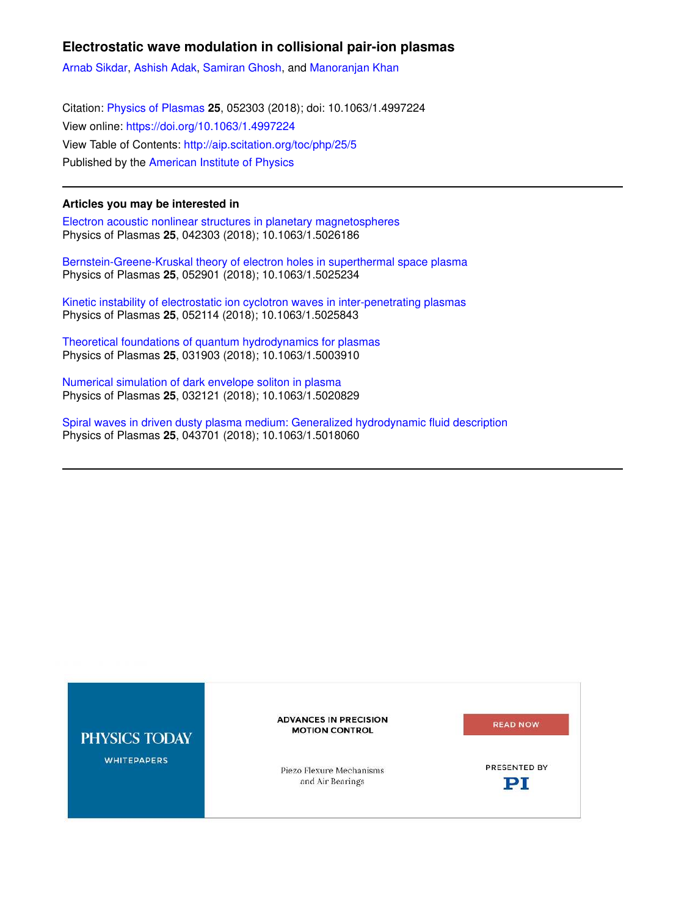# **Electrostatic wave modulation in collisional pair-ion plasmas**

Arnab Sikdar, Ashish Adak, Samiran Ghosh, and Manoranjan Khan

Citation: Physics of Plasmas **25**, 052303 (2018); doi: 10.1063/1.4997224 View online: https://doi.org/10.1063/1.4997224 View Table of Contents: http://aip.scitation.org/toc/php/25/5 Published by the American Institute of Physics

## **Articles you may be interested in**

Electron acoustic nonlinear structures in planetary magnetospheres Physics of Plasmas **25**, 042303 (2018); 10.1063/1.5026186

Bernstein-Greene-Kruskal theory of electron holes in superthermal space plasma Physics of Plasmas **25**, 052901 (2018); 10.1063/1.5025234

Kinetic instability of electrostatic ion cyclotron waves in inter-penetrating plasmas Physics of Plasmas **25**, 052114 (2018); 10.1063/1.5025843

Theoretical foundations of quantum hydrodynamics for plasmas Physics of Plasmas **25**, 031903 (2018); 10.1063/1.5003910

Numerical simulation of dark envelope soliton in plasma Physics of Plasmas **25**, 032121 (2018); 10.1063/1.5020829

Spiral waves in driven dusty plasma medium: Generalized hydrodynamic fluid description Physics of Plasmas **25**, 043701 (2018); 10.1063/1.5018060

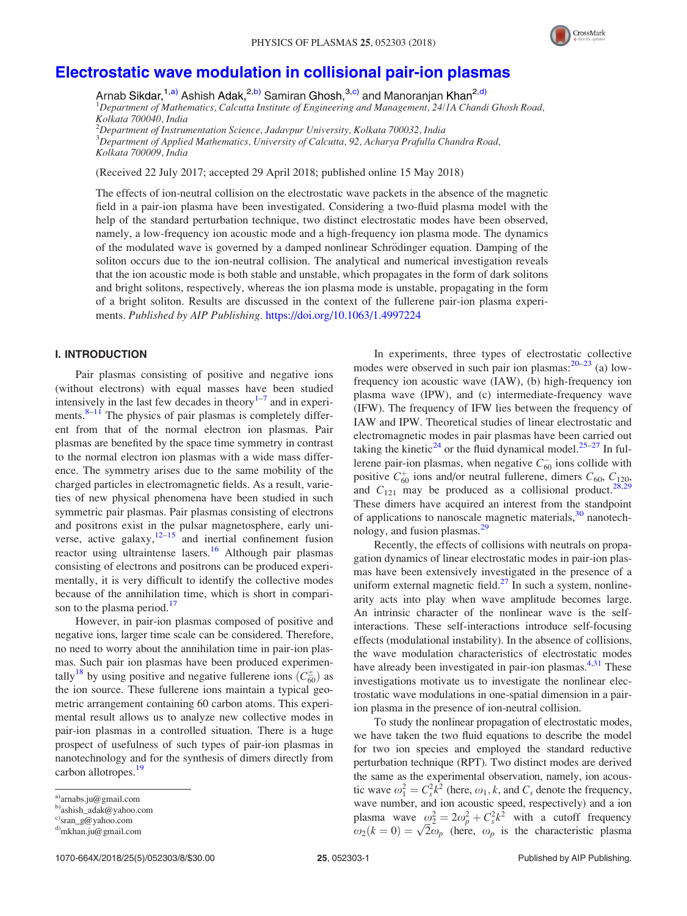

# Electrostatic wave modulation in collisional pair-ion plasmas

Arnab Sikdar,<sup>1,a)</sup> Ashish Adak,<sup>2,b)</sup> Samiran Ghosh,<sup>3,c)</sup> and Manoranjan Khan<sup>2,d)</sup>

<sup>1</sup>*Department of Mathematics, Calcutta Institute of Engineering and Management, 24/1A Chandi Ghosh Road, Kolkata 700040, India*

<sup>2</sup>*Department of Instrumentation Science, Jadavpur University, Kolkata 700032, India* <sup>3</sup>*Department of Applied Mathematics, University of Calcutta, 92, Acharya Prafulla Chandra Road, Kolkata 700009, India*

(Received 22 July 2017; accepted 29 April 2018; published online 15 May 2018)

The effects of ion-neutral collision on the electrostatic wave packets in the absence of the magnetic field in a pair-ion plasma have been investigated. Considering a two-fluid plasma model with the help of the standard perturbation technique, two distinct electrostatic modes have been observed, namely, a low-frequency ion acoustic mode and a high-frequency ion plasma mode. The dynamics of the modulated wave is governed by a damped nonlinear Schrödinger equation. Damping of the soliton occurs due to the ion-neutral collision. The analytical and numerical investigation reveals that the ion acoustic mode is both stable and unstable, which propagates in the form of dark solitons and bright solitons, respectively, whereas the ion plasma mode is unstable, propagating in the form of a bright soliton. Results are discussed in the context of the fullerene pair-ion plasma experiments. *Published by AIP Publishing.* https://doi.org/10.1063/1.4997224

## I. INTRODUCTION

Pair plasmas consisting of positive and negative ions (without electrons) with equal masses have been studied intensively in the last few decades in theory $1-7$  and in experiments. $8-11$  The physics of pair plasmas is completely different from that of the normal electron ion plasmas. Pair plasmas are benefited by the space time symmetry in contrast to the normal electron ion plasmas with a wide mass difference. The symmetry arises due to the same mobility of the charged particles in electromagnetic fields. As a result, varieties of new physical phenomena have been studied in such symmetric pair plasmas. Pair plasmas consisting of electrons and positrons exist in the pulsar magnetosphere, early universe, active galaxy,  $12-15$  and inertial confinement fusion reactor using ultraintense lasers.<sup>16</sup> Although pair plasmas consisting of electrons and positrons can be produced experimentally, it is very difficult to identify the collective modes because of the annihilation time, which is short in comparison to the plasma period. $17$ 

However, in pair-ion plasmas composed of positive and negative ions, larger time scale can be considered. Therefore, no need to worry about the annihilation time in pair-ion plasmas. Such pair ion plasmas have been produced experimentally<sup>18</sup> by using positive and negative fullerene ions  $(C_{60}^{\pm})$  as the ion source. These fullerene ions maintain a typical geometric arrangement containing 60 carbon atoms. This experimental result allows us to analyze new collective modes in pair-ion plasmas in a controlled situation. There is a huge prospect of usefulness of such types of pair-ion plasmas in nanotechnology and for the synthesis of dimers directly from carbon allotropes.<sup>19</sup>

In experiments, three types of electrostatic collective modes were observed in such pair ion plasmas: $20-23$  (a) lowfrequency ion acoustic wave (IAW), (b) high-frequency ion plasma wave (IPW), and (c) intermediate-frequency wave (IFW). The frequency of IFW lies between the frequency of IAW and IPW. Theoretical studies of linear electrostatic and electromagnetic modes in pair plasmas have been carried out taking the kinetic<sup>24</sup> or the fluid dynamical model.<sup>25–27</sup> In fullerene pair-ion plasmas, when negative  $C_{60}^-$  ions collide with positive  $C_{60}^+$  ions and/or neutral fullerene, dimers  $C_{60}$ ,  $C_{120}$ and  $C_{121}$  may be produced as a collisional product.<sup>28,29</sup> These dimers have acquired an interest from the standpoint of applications to nanoscale magnetic materials,  $30$  nanotechnology, and fusion plasmas.<sup>29</sup>

Recently, the effects of collisions with neutrals on propagation dynamics of linear electrostatic modes in pair-ion plasmas have been extensively investigated in the presence of a uniform external magnetic field. $27$  In such a system, nonlinearity acts into play when wave amplitude becomes large. An intrinsic character of the nonlinear wave is the selfinteractions. These self-interactions introduce self-focusing effects (modulational instability). In the absence of collisions, the wave modulation characteristics of electrostatic modes have already been investigated in pair-ion plasmas. $4,31$  These investigations motivate us to investigate the nonlinear electrostatic wave modulations in one-spatial dimension in a pairion plasma in the presence of ion-neutral collision.

To study the nonlinear propagation of electrostatic modes, we have taken the two fluid equations to describe the model for two ion species and employed the standard reductive perturbation technique (RPT). Two distinct modes are derived the same as the experimental observation, namely, ion acoustic wave  $\omega_1^2 = C_s^2 k^2$  (here,  $\omega_1, k$ , and  $C_s$  denote the frequency, wave number, and ion acoustic speed, respectively) and a ion plasma wave  $\omega_2^2 = 2\omega_p^2 + C_s^2 k^2$  with a cutoff frequency  $\omega_2(k=0) = \sqrt{2\omega_p}$  (here,  $\omega_p$  is the characteristic plasma

a)arnabs.ju@gmail.com

b)ashish\_adak@yahoo.com

c)sran\_g@yahoo.com

d)mkhan.ju@gmail.com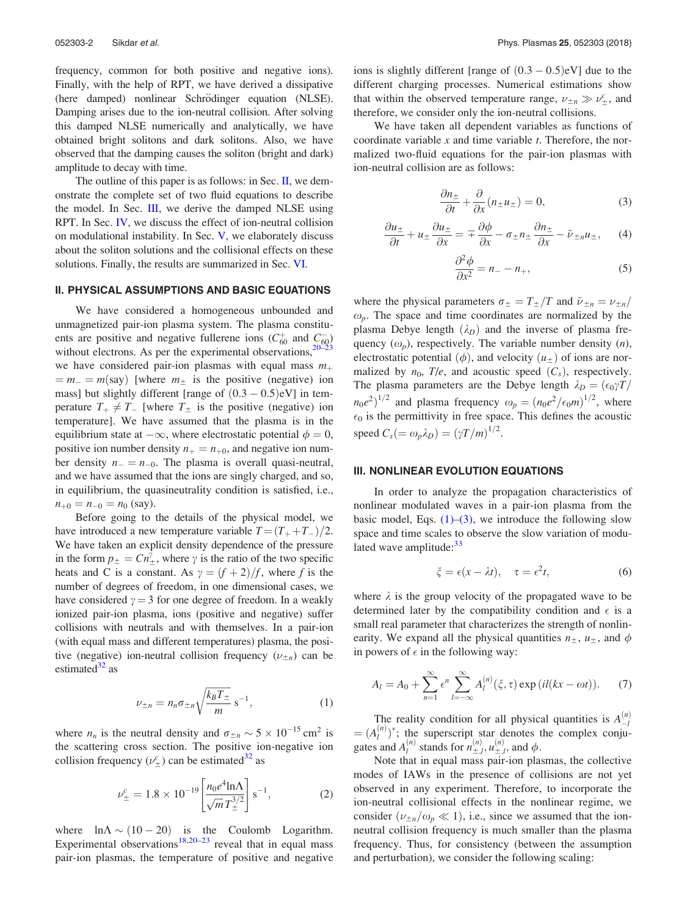frequency, common for both positive and negative ions). Finally, with the help of RPT, we have derived a dissipative (here damped) nonlinear Schrödinger equation (NLSE). Damping arises due to the ion-neutral collision. After solving this damped NLSE numerically and analytically, we have obtained bright solitons and dark solitons. Also, we have observed that the damping causes the soliton (bright and dark) amplitude to decay with time.

The outline of this paper is as follows: in Sec. II, we demonstrate the complete set of two fluid equations to describe the model. In Sec.  $III$ , we derive the damped NLSE using RPT. In Sec. IV, we discuss the effect of ion-neutral collision on modulational instability. In Sec. V, we elaborately discuss about the soliton solutions and the collisional effects on these solutions. Finally, the results are summarized in Sec. VI.

## II. PHYSICAL ASSUMPTIONS AND BASIC EQUATIONS

We have considered a homogeneous unbounded and unmagnetized pair-ion plasma system. The plasma constituents are positive and negative fullerene ions  $(C_{60}^+$  and  $C_{60}^$ without electrons. As per the experimental observations,<sup>20–</sup> we have considered pair-ion plasmas with equal mass  $m_+$  $m = m_{-} = m$ (say) [where  $m_{+}$  is the positive (negative) ion mass] but slightly different [range of  $(0.3 - 0.5)$ eV] in temperature  $T_+ \neq T_-$  [where  $T_{\pm}$  is the positive (negative) ion temperature]. We have assumed that the plasma is in the equilibrium state at  $-\infty$ , where electrostatic potential  $\phi = 0$ , positive ion number density  $n_+ = n_{+0}$ , and negative ion number density  $n_ - = n_{-0}$ . The plasma is overall quasi-neutral, and we have assumed that the ions are singly charged, and so, in equilibrium, the quasineutrality condition is satisfied, i.e.,  $n_{+0} = n_{-0} = n_0$  (say).

Before going to the details of the physical model, we have introduced a new temperature variable  $T = (T_{+} + T_{-})/2$ . We have taken an explicit density dependence of the pressure in the form  $p_{\pm} = Cn_{\pm}^{\hat{\gamma}}$ , where  $\gamma$  is the ratio of the two specific heats and C is a constant. As  $\gamma = (f + 2)/f$ , where *f* is the number of degrees of freedom, in one dimensional cases, we have considered  $\gamma = 3$  for one degree of freedom. In a weakly ionized pair-ion plasma, ions (positive and negative) suffer collisions with neutrals and with themselves. In a pair-ion (with equal mass and different temperatures) plasma, the positive (negative) ion-neutral collision frequency  $(\nu_{\pm n})$  can be estimated $32$  as

$$
\nu_{\pm n} = n_n \sigma_{\pm n} \sqrt{\frac{k_B T_{\pm}}{m}} \,\mathrm{s}^{-1},\tag{1}
$$

where  $n_n$  is the neutral density and  $\sigma_{\pm n} \sim 5 \times 10^{-15}$  cm<sup>2</sup> is the scattering cross section. The positive ion-negative ion collision frequency  $(\nu_{\pm}^c)$  can be estimated<sup>32</sup> as

$$
\nu_{\pm}^{c} = 1.8 \times 10^{-19} \left[ \frac{n_0 e^4 \ln \Lambda}{\sqrt{m} T_{\pm}^{3/2}} \right] s^{-1}, \tag{2}
$$

where  $\ln \Lambda \sim (10 - 20)$  is the Coulomb Logarithm. Experimental observations<sup>18,20–23</sup> reveal that in equal mass pair-ion plasmas, the temperature of positive and negative

ions is slightly different [range of  $(0.3 - 0.5)$ eV] due to the different charging processes. Numerical estimations show that within the observed temperature range,  $\nu_{\pm n} \gg \nu_{\pm}^c$ , and therefore, we consider only the ion-neutral collisions.

We have taken all dependent variables as functions of coordinate variable *x* and time variable *t*. Therefore, the normalized two-fluid equations for the pair-ion plasmas with ion-neutral collision are as follows:

$$
\frac{\partial n_{\pm}}{\partial t} + \frac{\partial}{\partial x}(n_{\pm}u_{\pm}) = 0, \tag{3}
$$

$$
\frac{\partial u_{\pm}}{\partial t} + u_{\pm} \frac{\partial u_{\pm}}{\partial x} = \mp \frac{\partial \phi}{\partial x} - \sigma_{\pm} n_{\pm} \frac{\partial n_{\pm}}{\partial x} - \tilde{\nu}_{\pm n} u_{\pm}, \quad (4)
$$

$$
\frac{\partial^2 \phi}{\partial x^2} = n_- - n_+, \tag{5}
$$

where the physical parameters  $\sigma_{\pm} = T_{\pm}/T$  and  $\tilde{\nu}_{\pm n} = \nu_{\pm n}/T$  $\omega_p$ . The space and time coordinates are normalized by the plasma Debye length  $(\lambda_D)$  and the inverse of plasma frequency  $(\omega_p)$ , respectively. The variable number density  $(n)$ , electrostatic potential  $(\phi)$ , and velocity  $(u_{\pm})$  of ions are normalized by  $n_0$ ,  $T/e$ , and acoustic speed  $(C_s)$ , respectively. The plasma parameters are the Debye length  $\lambda_D = (\epsilon_0 \gamma T / T)$  $(n_0e^2)^{1/2}$  and plasma frequency  $\omega_p = (n_0e^2/\epsilon_0m)^{1/2}$ , where  $\epsilon_0$  is the permittivity in free space. This defines the acoustic speed  $C_s (= \omega_p \lambda_D) = (\gamma T/m)^{1/2}$ .

## III. NONLINEAR EVOLUTION EQUATIONS

In order to analyze the propagation characteristics of nonlinear modulated waves in a pair-ion plasma from the basic model, Eqs.  $(1)$ – $(3)$ , we introduce the following slow space and time scales to observe the slow variation of modulated wave amplitude: $33$ 

$$
\xi = \epsilon(x - \lambda t), \quad \tau = \epsilon^2 t,\tag{6}
$$

where  $\lambda$  is the group velocity of the propagated wave to be determined later by the compatibility condition and  $\epsilon$  is a small real parameter that characterizes the strength of nonlinearity. We expand all the physical quantities  $n_{\pm}$ ,  $u_{\pm}$ , and  $\phi$ in powers of  $\epsilon$  in the following way:

$$
A_l = A_0 + \sum_{n=1}^{\infty} \epsilon^n \sum_{l=-\infty}^{\infty} A_l^{(n)}(\xi, \tau) \exp\left( il(kx - \omega t)\right).
$$
 (7)

The reality condition for all physical quantities is  $A_{-l}^{(n)}$  $A_l^{(n)}$ <sup>\*</sup>; the superscript star denotes the complex conjugates and  $A_l^{(n)}$  stands for  $n_{\pm,l}^{(n)}$ ,  $u_{\pm,l}^{(n)}$ , and  $\phi$ .

Note that in equal mass pair-ion plasmas, the collective modes of IAWs in the presence of collisions are not yet observed in any experiment. Therefore, to incorporate the ion-neutral collisional effects in the nonlinear regime, we consider ( $\nu_{\pm n}/\omega_p \ll 1$ ), i.e., since we assumed that the ionneutral collision frequency is much smaller than the plasma frequency. Thus, for consistency (between the assumption and perturbation), we consider the following scaling: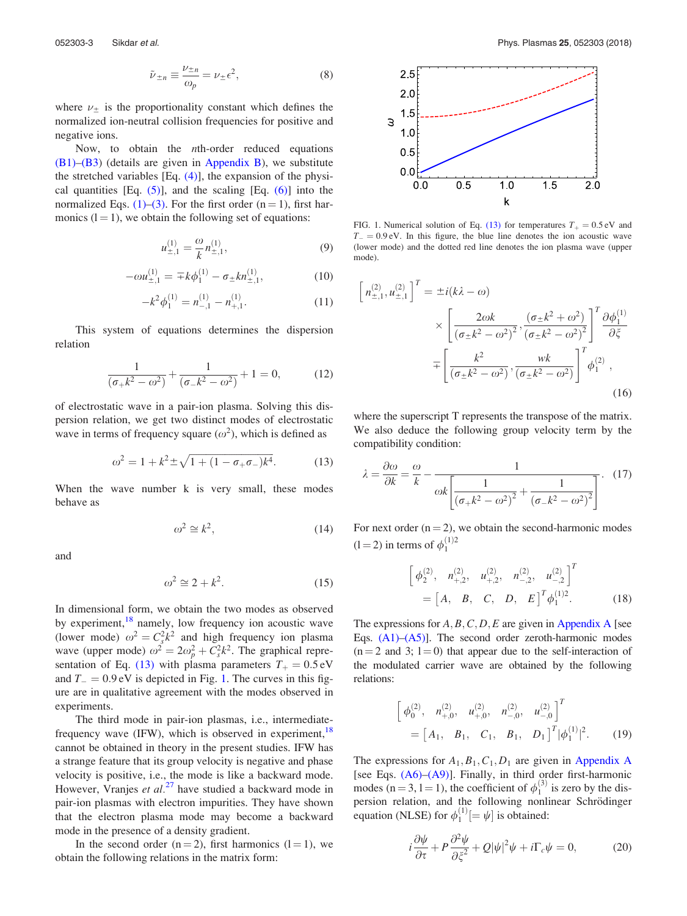$$
\tilde{\nu}_{\pm n} \equiv \frac{\nu_{\pm n}}{\omega_p} = \nu_{\pm} \epsilon^2, \tag{8}
$$

where  $\nu_{\pm}$  is the proportionality constant which defines the normalized ion-neutral collision frequencies for positive and negative ions.

Now, to obtain the *n*th-order reduced equations  $(B1)$ – $(B3)$  (details are given in Appendix B), we substitute the stretched variables  $[Eq. (4)]$ , the expansion of the physical quantities [Eq.  $(5)$ ], and the scaling [Eq.  $(6)$ ] into the normalized Eqs. (1)–(3). For the first order  $(n = 1)$ , first harmonics  $(l = 1)$ , we obtain the following set of equations:

$$
u_{\pm,1}^{(1)} = \frac{\omega}{k} n_{\pm,1}^{(1)},\tag{9}
$$

$$
-\omega u_{\pm,1}^{(1)} = \pm k \phi_1^{(1)} - \sigma_{\pm} k n_{\pm,1}^{(1)}, \qquad (10)
$$

$$
-k^2 \phi_1^{(1)} = n_{-,1}^{(1)} - n_{+,1}^{(1)}.
$$
 (11)

This system of equations determines the dispersion relation

$$
\frac{1}{(\sigma_+ k^2 - \omega^2)} + \frac{1}{(\sigma_- k^2 - \omega^2)} + 1 = 0,
$$
 (12)

of electrostatic wave in a pair-ion plasma. Solving this dispersion relation, we get two distinct modes of electrostatic wave in terms of frequency square  $(\omega^2)$ , which is defined as

$$
\omega^2 = 1 + k^2 \pm \sqrt{1 + (1 - \sigma_+ \sigma_-)k^4}.
$$
 (13)

When the wave number k is very small, these modes behave as

$$
\omega^2 \cong k^2,\tag{14}
$$

and

$$
\omega^2 \cong 2 + k^2. \tag{15}
$$

In dimensional form, we obtain the two modes as observed by experiment,<sup>18</sup> namely, low frequency ion acoustic wave (lower mode)  $\omega^2 = C_s^2 k^2$  and high frequency ion plasma wave (upper mode)  $\omega^2 = 2\omega_p^2 + C_s^2 k^2$ . The graphical representation of Eq. (13) with plasma parameters  $T_+ = 0.5 \text{ eV}$ and  $T_{-} = 0.9 \text{ eV}$  is depicted in Fig. 1. The curves in this figure are in qualitative agreement with the modes observed in experiments.

The third mode in pair-ion plasmas, i.e., intermediatefrequency wave (IFW), which is observed in experiment,  $18$ cannot be obtained in theory in the present studies. IFW has a strange feature that its group velocity is negative and phase velocity is positive, i.e., the mode is like a backward mode. However, Vranjes *et al.*<sup>27</sup> have studied a backward mode in pair-ion plasmas with electron impurities. They have shown that the electron plasma mode may become a backward mode in the presence of a density gradient.

In the second order  $(n = 2)$ , first harmonics  $(l = 1)$ , we obtain the following relations in the matrix form:



FIG. 1. Numerical solution of Eq. (13) for temperatures  $T_+ = 0.5 \text{ eV}$  and  $T_{-} = 0.9$  eV. In this figure, the blue line denotes the ion acoustic wave (lower mode) and the dotted red line denotes the ion plasma wave (upper mode).

$$
\left[n_{\pm,1}^{(2)}, u_{\pm,1}^{(2)}\right]^T = \pm i(k\lambda - \omega) \times \left[\frac{2\omega k}{\left(\sigma_{\pm}k^2 - \omega^2\right)^2}, \frac{\left(\sigma_{\pm}k^2 + \omega^2\right)}{\left(\sigma_{\pm}k^2 - \omega^2\right)^2}\right]^T \frac{\partial \phi_1^{(1)}}{\partial \xi} \mp \left[\frac{k^2}{\left(\sigma_{\pm}k^2 - \omega^2\right)}, \frac{wk}{\left(\sigma_{\pm}k^2 - \omega^2\right)}\right]^T \phi_1^{(2)},
$$
\n(16)

where the superscript T represents the transpose of the matrix. We also deduce the following group velocity term by the compatibility condition:

$$
\lambda = \frac{\partial \omega}{\partial k} = \frac{\omega}{k} - \frac{1}{\omega k \left[ \frac{1}{\left(\sigma + k^2 - \omega^2\right)^2} + \frac{1}{\left(\sigma - k^2 - \omega^2\right)^2} \right]}.
$$
 (17)

For next order  $(n = 2)$ , we obtain the second-harmonic modes  $(1 = 2)$  in terms of  $\phi_1^{(1)2}$ 

$$
\begin{bmatrix} \phi_2^{(2)}, & n_{+,2}^{(2)}, & u_{+,2}^{(2)}, & n_{-,2}^{(2)}, & u_{-,2}^{(2)} \end{bmatrix}^T
$$
  
= 
$$
\begin{bmatrix} A, & B, & C, & D, & E \end{bmatrix}^T \phi_1^{(1)2}.
$$
 (18)

The expressions for  $A, B, C, D, E$  are given in Appendix A [see Eqs.  $(A1)$ – $(A5)$ ]. The second order zeroth-harmonic modes  $(n=2 \text{ and } 3; 1=0)$  that appear due to the self-interaction of the modulated carrier wave are obtained by the following relations:

$$
\begin{bmatrix} \phi_0^{(2)}, & n_{+,0}^{(2)}, & u_{+,0}^{(2)}, & n_{-,0}^{(2)}, & u_{-,0}^{(2)} \end{bmatrix}^T = \begin{bmatrix} A_1, & B_1, & C_1, & B_1, & D_1 \end{bmatrix}^T |\phi_1^{(1)}|^2.
$$
 (19)

The expressions for  $A_1, B_1, C_1, D_1$  are given in Appendix A [see Eqs.  $(A6)$ – $(A9)$ ]. Finally, in third order first-harmonic modes (n = 3, 1 = 1), the coefficient of  $\phi_1^{(3)}$  is zero by the dispersion relation, and the following nonlinear Schrödinger equation (NLSE) for  $\phi_1^{(1)}[ = \psi]$  is obtained:

$$
i\frac{\partial \psi}{\partial \tau} + P \frac{\partial^2 \psi}{\partial \xi^2} + Q|\psi|^2 \psi + i\Gamma_c \psi = 0, \qquad (20)
$$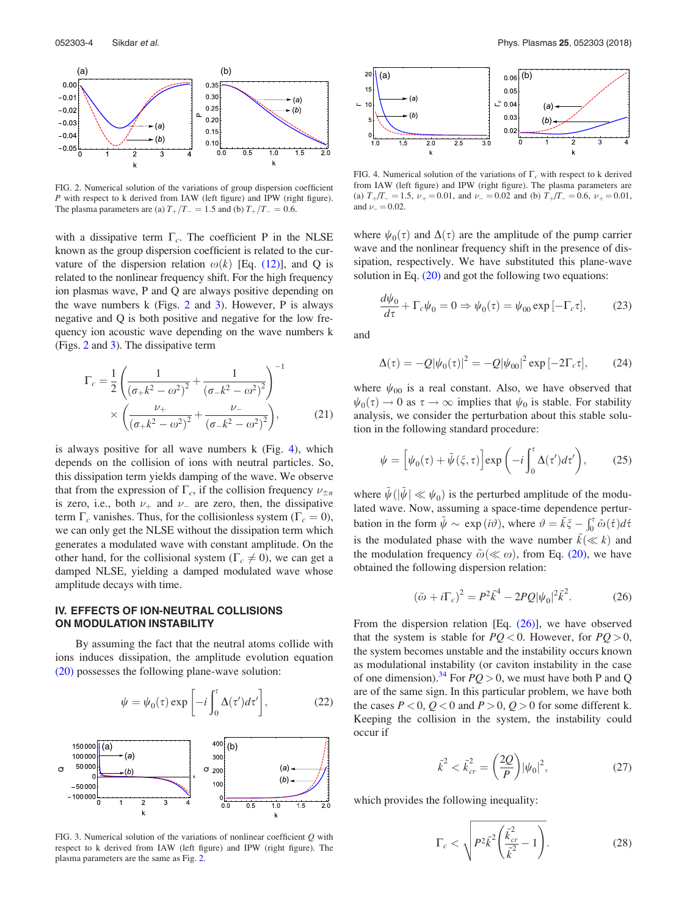

FIG. 2. Numerical solution of the variations of group dispersion coefficient *P* with respect to k derived from IAW (left figure) and IPW (right figure). The plasma parameters are (a)  $T_+/T_- = 1.5$  and (b)  $T_+/T_- = 0.6$ .

with a dissipative term  $\Gamma_c$ . The coefficient P in the NLSE known as the group dispersion coefficient is related to the curvature of the dispersion relation  $\omega(k)$  [Eq. (12)], and Q is related to the nonlinear frequency shift. For the high frequency ion plasmas wave, P and Q are always positive depending on the wave numbers  $k$  (Figs. 2 and 3). However, P is always negative and Q is both positive and negative for the low frequency ion acoustic wave depending on the wave numbers k (Figs. 2 and 3). The dissipative term

$$
\Gamma_c = \frac{1}{2} \left( \frac{1}{\left(\sigma_+ k^2 - \omega^2\right)^2} + \frac{1}{\left(\sigma_- k^2 - \omega^2\right)^2} \right)^{-1} \times \left( \frac{\nu_+}{\left(\sigma_+ k^2 - \omega^2\right)^2} + \frac{\nu_-}{\left(\sigma_- k^2 - \omega^2\right)^2} \right),\tag{21}
$$

is always positive for all wave numbers k (Fig. 4), which depends on the collision of ions with neutral particles. So, this dissipation term yields damping of the wave. We observe that from the expression of  $\Gamma_c$ , if the collision frequency  $\nu_{\pm n}$ is zero, i.e., both  $\nu_+$  and  $\nu_-$  are zero, then, the dissipative term  $\Gamma_c$  vanishes. Thus, for the collisionless system ( $\Gamma_c = 0$ ), we can only get the NLSE without the dissipation term which generates a modulated wave with constant amplitude. On the other hand, for the collisional system ( $\Gamma_c \neq 0$ ), we can get a damped NLSE, yielding a damped modulated wave whose amplitude decays with time.

## IV. EFFECTS OF ION-NEUTRAL COLLISIONS ON MODULATION INSTABILITY

By assuming the fact that the neutral atoms collide with ions induces dissipation, the amplitude evolution equation (20) possesses the following plane-wave solution:

$$
\psi = \psi_0(\tau) \exp\left[-i \int_0^{\tau} \Delta(\tau') d\tau'\right],\tag{22}
$$



FIG. 3. Numerical solution of the variations of nonlinear coefficient *Q* with respect to k derived from IAW (left figure) and IPW (right figure). The plasma parameters are the same as Fig. 2.



FIG. 4. Numerical solution of the variations of  $\Gamma_c$  with respect to k derived from IAW (left figure) and IPW (right figure). The plasma parameters are (a)  $T_{+}/T_{-} = 1.5$ ,  $\nu_{+} = 0.01$ , and  $\nu_{-} = 0.02$  and (b)  $T_{+}/T_{-} = 0.6$ ,  $\nu_{+} = 0.01$ , and  $\nu = 0.02$ .

where  $\psi_0(\tau)$  and  $\Delta(\tau)$  are the amplitude of the pump carrier wave and the nonlinear frequency shift in the presence of dissipation, respectively. We have substituted this plane-wave solution in Eq. (20) and got the following two equations:

$$
\frac{d\psi_0}{d\tau} + \Gamma_c \psi_0 = 0 \Rightarrow \psi_0(\tau) = \psi_{00} \exp[-\Gamma_c \tau],\tag{23}
$$

and

$$
\Delta(\tau) = -Q|\psi_0(\tau)|^2 = -Q|\psi_{00}|^2 \exp[-2\Gamma_c \tau],\qquad(24)
$$

where  $\psi_{00}$  is a real constant. Also, we have observed that  $\psi_0(\tau) \to 0$  as  $\tau \to \infty$  implies that  $\psi_0$  is stable. For stability analysis, we consider the perturbation about this stable solution in the following standard procedure:

$$
\psi = \left[ \psi_0(\tau) + \tilde{\psi}(\xi, \tau) \right] \exp\left( -i \int_0^{\tau} \Delta(\tau') d\tau' \right), \tag{25}
$$

where  $\tilde{\psi}(|\tilde{\psi}| \ll \psi_0)$  is the perturbed amplitude of the modulated wave. Now, assuming a space-time dependence perturbation in the form  $\tilde{\psi} \sim \exp(i\vartheta)$ , where  $\vartheta = \tilde{k}\xi - \int_0^{\tau} \tilde{\omega}(\tau) d\tau$ is the modulated phase with the wave number  $\tilde{k}(\ll k)$  and the modulation frequency  $\tilde{\omega}(\ll \omega)$ , from Eq. (20), we have obtained the following dispersion relation:

$$
(\tilde{\omega} + i\Gamma_c)^2 = P^2 \tilde{k}^4 - 2PQ |\psi_0|^2 \tilde{k}^2.
$$
 (26)

From the dispersion relation [Eq. (26)], we have observed that the system is stable for  $PQ < 0$ . However, for  $PQ > 0$ , the system becomes unstable and the instability occurs known as modulational instability (or caviton instability in the case of one dimension).<sup>34</sup> For  $PQ > 0$ , we must have both P and Q are of the same sign. In this particular problem, we have both the cases  $P < 0$ ,  $Q < 0$  and  $P > 0$ ,  $Q > 0$  for some different k. Keeping the collision in the system, the instability could occur if

$$
\tilde{k}^2 < \tilde{k}_{cr}^2 = \left(\frac{2Q}{P}\right) |\psi_0|^2,\tag{27}
$$

which provides the following inequality:

$$
\Gamma_c < \sqrt{P^2 \tilde{k}^2 \left(\frac{\tilde{k}_{cr}^2}{\tilde{k}^2} - 1\right)}.\tag{28}
$$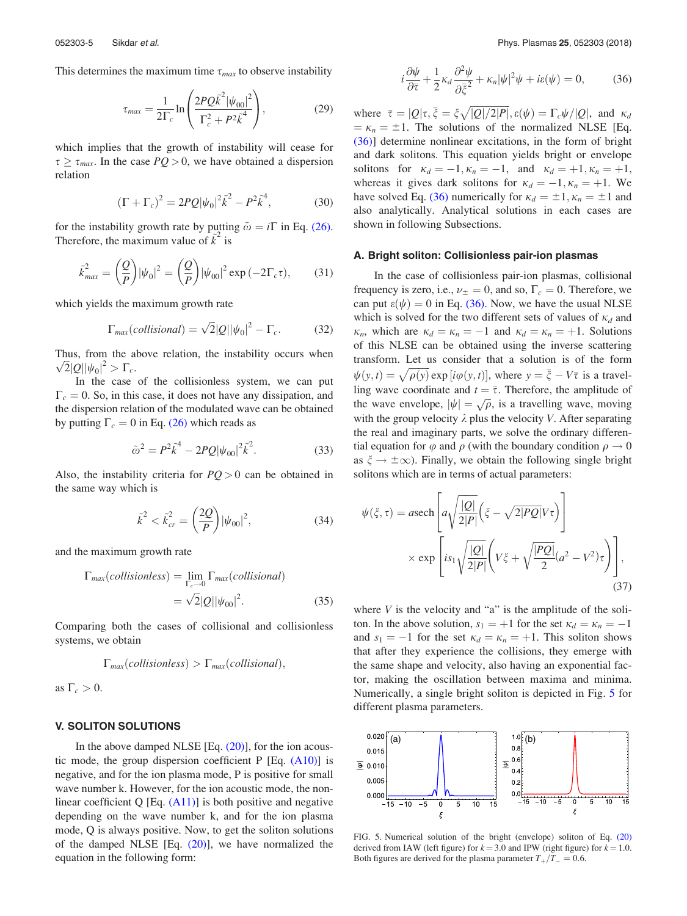This determines the maximum time  $\tau_{max}$  to observe instability

$$
\tau_{max} = \frac{1}{2\Gamma_c} \ln \left( \frac{2PQ\tilde{k}^2 |\psi_{00}|^2}{\Gamma_c^2 + P^2 \tilde{k}^4} \right),\tag{29}
$$

which implies that the growth of instability will cease for  $\tau \geq \tau_{max}$ . In the case  $PQ > 0$ , we have obtained a dispersion relation

$$
(\Gamma + \Gamma_c)^2 = 2PQ|\psi_0|^2 \tilde{k}^2 - P^2 \tilde{k}^4,
$$
 (30)

for the instability growth rate by putting  $\tilde{\omega} = i\Gamma$  in Eq. (26). Therefore, the maximum value of  $\vec{k}^2$  is

$$
\tilde{k}_{max}^2 = \left(\frac{Q}{P}\right) |\psi_0|^2 = \left(\frac{Q}{P}\right) |\psi_{00}|^2 \exp\left(-2\Gamma_c \tau\right),\tag{31}
$$

which yields the maximum growth rate

$$
\Gamma_{max}(collisional) = \sqrt{2}|Q||\psi_0|^2 - \Gamma_c.
$$
 (32)

Thus, from the above relation, the instability occurs when  $\sqrt{2}|Q||\psi_0|^2 > \Gamma_c$ .

In the case of the collisionless system, we can put  $\Gamma_c = 0$ . So, in this case, it does not have any dissipation, and the dispersion relation of the modulated wave can be obtained by putting  $\Gamma_c = 0$  in Eq. (26) which reads as

$$
\tilde{\omega}^2 = P^2 \tilde{k}^4 - 2PQ |\psi_{00}|^2 \tilde{k}^2.
$$
 (33)

Also, the instability criteria for *PQ* > 0 can be obtained in the same way which is

$$
\tilde{k}^2 < \tilde{k}_{cr}^2 = \left(\frac{2Q}{P}\right) |\psi_{00}|^2,\tag{34}
$$

and the maximum growth rate

$$
\Gamma_{max}(collisionless) = \lim_{\Gamma_c \to 0} \Gamma_{max}(collisional)
$$

$$
= \sqrt{2} |Q| |\psi_{00}|^2.
$$
 (35)

Comparing both the cases of collisional and collisionless systems, we obtain

$$
\Gamma_{max}(collisions) > \Gamma_{max}(collisional),
$$

as  $\Gamma_c > 0$ .

## V. SOLITON SOLUTIONS

In the above damped NLSE  $[Eq. (20)]$ , for the ion acoustic mode, the group dispersion coefficient  $P$  [Eq.  $(A10)$ ] is negative, and for the ion plasma mode, P is positive for small wave number k. However, for the ion acoustic mode, the nonlinear coefficient  $Q$  [Eq.  $(A11)$ ] is both positive and negative depending on the wave number k, and for the ion plasma mode, Q is always positive. Now, to get the soliton solutions of the damped NLSE  $[Eq. (20)]$ , we have normalized the equation in the following form:

$$
i\frac{\partial \psi}{\partial \overline{\tau}} + \frac{1}{2}\kappa_d \frac{\partial^2 \psi}{\partial \overline{\xi}^2} + \kappa_n |\psi|^2 \psi + i\epsilon(\psi) = 0, \qquad (36)
$$

where  $\bar{\tau} = |Q|\tau, \bar{\xi} = \xi \sqrt{|Q|/2|P|}, \varepsilon(\psi) = \Gamma_c \psi/|Q|,$  and  $\kappa_a$  $\kappa_n = \pm 1$ . The solutions of the normalized NLSE [Eq. (36)] determine nonlinear excitations, in the form of bright and dark solitons. This equation yields bright or envelope solitons for  $\kappa_d = -1, \kappa_n = -1$ , and  $\kappa_d = +1, \kappa_n = +1$ , whereas it gives dark solitons for  $\kappa_d = -1, \kappa_n = +1$ . We have solved Eq. (36) numerically for  $\kappa_d = \pm 1, \kappa_n = \pm 1$  and also analytically. Analytical solutions in each cases are shown in following Subsections.

#### A. Bright soliton: Collisionless pair-ion plasmas

In the case of collisionless pair-ion plasmas, collisional frequency is zero, i.e.,  $\nu_{\pm} = 0$ , and so,  $\Gamma_c = 0$ . Therefore, we can put  $\varepsilon(\psi) = 0$  in Eq. (36). Now, we have the usual NLSE which is solved for the two different sets of values of  $\kappa_d$  and  $\kappa_n$ , which are  $\kappa_d = \kappa_n = -1$  and  $\kappa_d = \kappa_n = +1$ . Solutions of this NLSE can be obtained using the inverse scattering transform. Let us consider that a solution is of the form  $\psi(y,t) = \sqrt{\rho(y)} \exp[i\varphi(y,t)]$ , where  $y = \bar{\xi} - V\bar{\tau}$  is a travelling wave coordinate and  $t = \overline{\tau}$ . Therefore, the amplitude of the wave envelope,  $|\psi| = \sqrt{\rho}$ , is a travelling wave, moving with the group velocity  $\lambda$  plus the velocity *V*. After separating the real and imaginary parts, we solve the ordinary differential equation for  $\varphi$  and  $\rho$  (with the boundary condition  $\rho \to 0$ as  $\xi \to \pm \infty$ ). Finally, we obtain the following single bright solitons which are in terms of actual parameters:

$$
\psi(\xi,\tau) = a \text{sech}\left[a\sqrt{\frac{|Q|}{2|P|}}\left(\xi - \sqrt{2|PQ|}V\tau\right)\right]
$$

$$
\times \exp\left[is_1\sqrt{\frac{|Q|}{2|P|}}\left(V\xi + \sqrt{\frac{|PQ|}{2}}(a^2 - V^2)\tau\right)\right],\tag{37}
$$

where  $V$  is the velocity and "a" is the amplitude of the soliton. In the above solution,  $s_1 = +1$  for the set  $\kappa_d = \kappa_n = -1$ and  $s_1 = -1$  for the set  $\kappa_d = \kappa_n = +1$ . This soliton shows that after they experience the collisions, they emerge with the same shape and velocity, also having an exponential factor, making the oscillation between maxima and minima. Numerically, a single bright soliton is depicted in Fig. 5 for different plasma parameters.



FIG. 5. Numerical solution of the bright (envelope) soliton of Eq. (20) derived from IAW (left figure) for  $k = 3.0$  and IPW (right figure) for  $k = 1.0$ . Both figures are derived for the plasma parameter  $T_{+}/T_{-} = 0.6$ .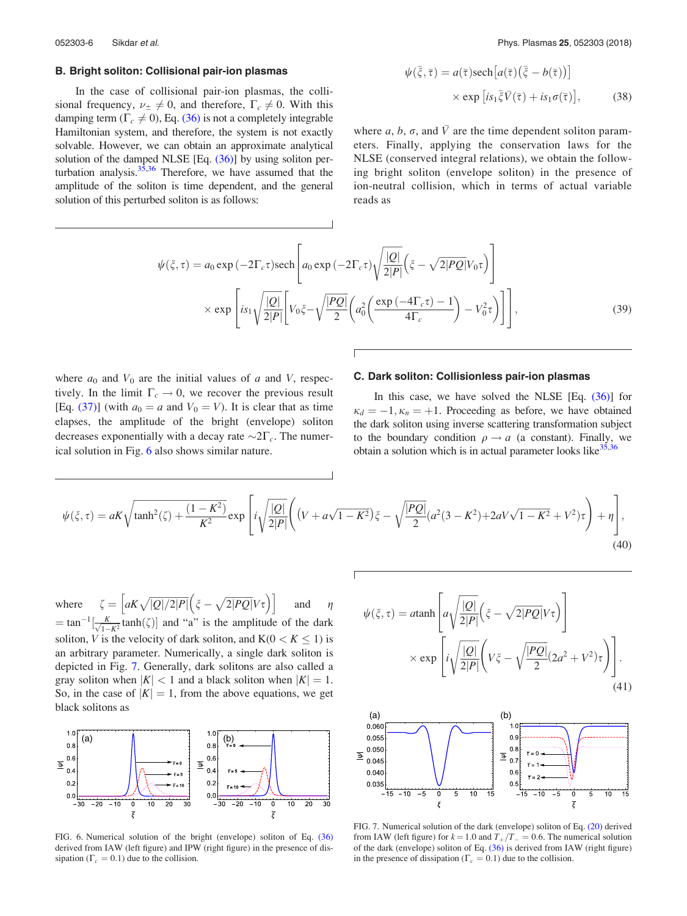## B. Bright soliton: Collisional pair-ion plasmas

In the case of collisional pair-ion plasmas, the collisional frequency,  $\nu_{\pm} \neq 0$ , and therefore,  $\Gamma_c \neq 0$ . With this damping term  $(\Gamma_c \neq 0)$ , Eq. (36) is not a completely integrable Hamiltonian system, and therefore, the system is not exactly solvable. However, we can obtain an approximate analytical solution of the damped NLSE [Eq. (36)] by using soliton perturbation analysis. $35,36$  Therefore, we have assumed that the amplitude of the soliton is time dependent, and the general solution of this perturbed soliton is as follows:

052303-6 Sikdar et al. Phys. Plasmas 25, 052303 (2018)

$$
\psi(\bar{\xi}, \bar{\tau}) = a(\bar{\tau}) \text{sech} [a(\bar{\tau})(\bar{\xi} - b(\bar{\tau}))]
$$
  
 
$$
\times \exp [is_1 \bar{\xi} \bar{V}(\bar{\tau}) + is_1 \sigma(\bar{\tau})], \qquad (38)
$$

where *a*, *b*,  $\sigma$ , and  $\bar{V}$  are the time dependent soliton parameters. Finally, applying the conservation laws for the NLSE (conserved integral relations), we obtain the following bright soliton (envelope soliton) in the presence of ion-neutral collision, which in terms of actual variable reads as

$$
\psi(\xi,\tau) = a_0 \exp(-2\Gamma_c \tau) \text{sech}\left[a_0 \exp(-2\Gamma_c \tau)\sqrt{\frac{|Q|}{2|P|}}\left(\xi - \sqrt{2|PQ|}V_0 \tau\right)\right] \times \exp\left[is_1 \sqrt{\frac{|Q|}{2|P|}}\left[V_0 \xi - \sqrt{\frac{|PQ|}{2}}\left(a_0^2 \left(\frac{\exp(-4\Gamma_c \tau) - 1}{4\Gamma_c}\right) - V_0^2 \tau\right)\right]\right],
$$
\n(39)

where  $a_0$  and  $V_0$  are the initial values of  $a$  and  $V$ , respectively. In the limit  $\Gamma_c \rightarrow 0$ , we recover the previous result [Eq. (37)] (with  $a_0 = a$  and  $V_0 = V$ ). It is clear that as time elapses, the amplitude of the bright (envelope) soliton decreases exponentially with a decay rate  $\sim 2\Gamma_c$ . The numerical solution in Fig. 6 also shows similar nature.

## C. Dark soliton: Collisionless pair-ion plasmas

In this case, we have solved the NLSE [Eq. (36)] for  $\kappa_d = -1, \kappa_n = +1$ . Proceeding as before, we have obtained the dark soliton using inverse scattering transformation subject to the boundary condition  $\rho \rightarrow a$  (a constant). Finally, we obtain a solution which is in actual parameter looks like $35,36$ 

$$
\psi(\xi,\tau) = aK\sqrt{\tanh^2(\zeta) + \frac{(1-K^2)}{K^2}} \exp\left[i\sqrt{\frac{|Q|}{2|P|}}\left((V + a\sqrt{1-K^2})\xi - \sqrt{\frac{|PQ|}{2}}(a^2(3-K^2) + 2aV\sqrt{1-K^2} + V^2)\tau\right) + \eta\right],
$$
\n(40)

where  $\zeta = \left[ aK\sqrt{|Q|/2|P|} \left( \zeta - \sqrt{2|PQ|}V\tau \right) \right]$ and  $\eta$  $=$  tan<sup>-1</sup> $\left[\frac{K}{\sqrt{1-K^2}}\tanh(\zeta)\right]$  and "a" is the amplitude of the dark soliton, *V* is the velocity of dark soliton, and  $K(0 < K \le 1)$  is an arbitrary parameter. Numerically, a single dark soliton is depicted in Fig. 7. Generally, dark solitons are also called a gray soliton when  $|K| < 1$  and a black soliton when  $|K| = 1$ . So, in the case of  $|K| = 1$ , from the above equations, we get black solitons as



FIG. 6. Numerical solution of the bright (envelope) soliton of Eq. (36) derived from IAW (left figure) and IPW (right figure) in the presence of dissipation ( $\Gamma_c = 0.1$ ) due to the collision.





FIG. 7. Numerical solution of the dark (envelope) soliton of Eq. (20) derived from IAW (left figure) for  $k = 1.0$  and  $T_{+}/T_{-} = 0.6$ . The numerical solution of the dark (envelope) soliton of Eq. (36) is derived from IAW (right figure) in the presence of dissipation ( $\Gamma_c = 0.1$ ) due to the collision.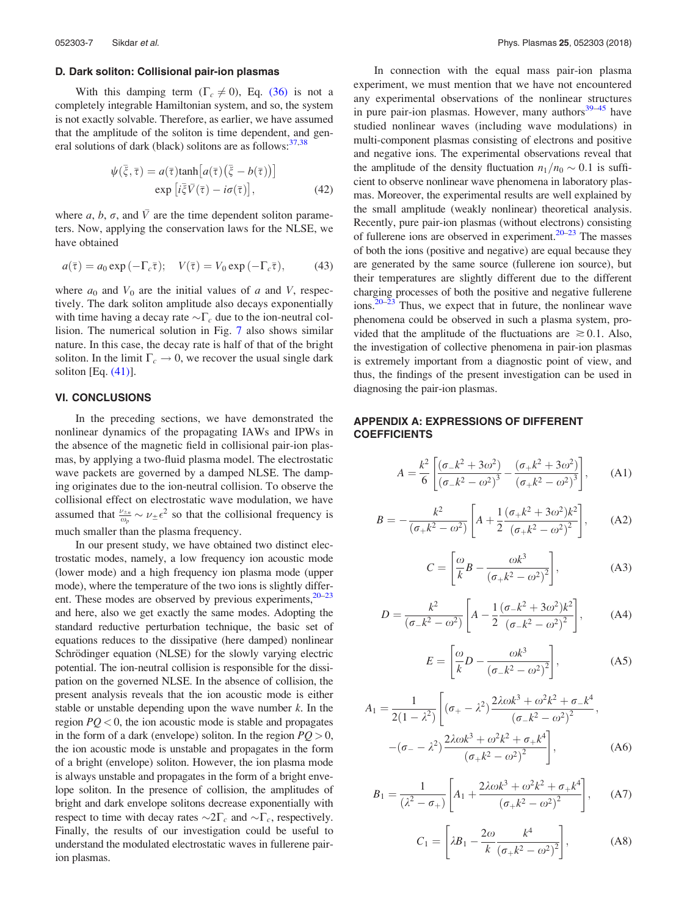#### D. Dark soliton: Collisional pair-ion plasmas

With this damping term  $(\Gamma_c \neq 0)$ , Eq. (36) is not a completely integrable Hamiltonian system, and so, the system is not exactly solvable. Therefore, as earlier, we have assumed that the amplitude of the soliton is time dependent, and general solutions of dark (black) solitons are as follows:  $37,38$ 

$$
\psi(\bar{\xi}, \bar{\tau}) = a(\bar{\tau}) \tanh\left[a(\bar{\tau})(\bar{\xi} - b(\bar{\tau}))\right]
$$

$$
\exp\left[i\bar{\xi}\bar{V}(\bar{\tau}) - i\sigma(\bar{\tau})\right],\tag{42}
$$

where *a*, *b*,  $\sigma$ , and  $\overline{V}$  are the time dependent soliton parameters. Now, applying the conservation laws for the NLSE, we have obtained

$$
a(\overline{\tau}) = a_0 \exp(-\Gamma_c \overline{\tau}); \quad V(\overline{\tau}) = V_0 \exp(-\Gamma_c \overline{\tau}), \quad (43)
$$

where  $a_0$  and  $V_0$  are the initial values of  $a$  and  $V$ , respectively. The dark soliton amplitude also decays exponentially with time having a decay rate  $\sim \Gamma_c$  due to the ion-neutral collision. The numerical solution in Fig. 7 also shows similar nature. In this case, the decay rate is half of that of the bright soliton. In the limit  $\Gamma_c \rightarrow 0$ , we recover the usual single dark soliton [Eq. (41)].

## VI. CONCLUSIONS

In the preceding sections, we have demonstrated the nonlinear dynamics of the propagating IAWs and IPWs in the absence of the magnetic field in collisional pair-ion plasmas, by applying a two-fluid plasma model. The electrostatic wave packets are governed by a damped NLSE. The damping originates due to the ion-neutral collision. To observe the collisional effect on electrostatic wave modulation, we have assumed that  $\frac{\nu_{\pm n}}{\omega_p} \sim \nu_{\pm} \epsilon^2$  so that the collisional frequency is much smaller than the plasma frequency.

In our present study, we have obtained two distinct electrostatic modes, namely, a low frequency ion acoustic mode (lower mode) and a high frequency ion plasma mode (upper mode), where the temperature of the two ions is slightly different. These modes are observed by previous experiments, $20-23$ and here, also we get exactly the same modes. Adopting the standard reductive perturbation technique, the basic set of equations reduces to the dissipative (here damped) nonlinear Schrödinger equation (NLSE) for the slowly varying electric potential. The ion-neutral collision is responsible for the dissipation on the governed NLSE. In the absence of collision, the present analysis reveals that the ion acoustic mode is either stable or unstable depending upon the wave number *k*. In the region  $PQ < 0$ , the ion acoustic mode is stable and propagates in the form of a dark (envelope) soliton. In the region  $PQ > 0$ , the ion acoustic mode is unstable and propagates in the form of a bright (envelope) soliton. However, the ion plasma mode is always unstable and propagates in the form of a bright envelope soliton. In the presence of collision, the amplitudes of bright and dark envelope solitons decrease exponentially with respect to time with decay rates  $\sim 2\Gamma_c$  and  $\sim \Gamma_c$ , respectively. Finally, the results of our investigation could be useful to understand the modulated electrostatic waves in fullerene pairion plasmas.

In connection with the equal mass pair-ion plasma experiment, we must mention that we have not encountered any experimental observations of the nonlinear structures in pure pair-ion plasmas. However, many authors $39-45$  have studied nonlinear waves (including wave modulations) in multi-component plasmas consisting of electrons and positive and negative ions. The experimental observations reveal that the amplitude of the density fluctuation  $n_1/n_0 \sim 0.1$  is sufficient to observe nonlinear wave phenomena in laboratory plasmas. Moreover, the experimental results are well explained by the small amplitude (weakly nonlinear) theoretical analysis. Recently, pure pair-ion plasmas (without electrons) consisting of fullerene ions are observed in experiment.<sup>20–23</sup> The masses of both the ions (positive and negative) are equal because they are generated by the same source (fullerene ion source), but their temperatures are slightly different due to the different charging processes of both the positive and negative fullerene  $\frac{20-23}{2}$  Thus, we expect that in future, the nonlinear wave phenomena could be observed in such a plasma system, provided that the amplitude of the fluctuations are  $\geq 0.1$ . Also, the investigation of collective phenomena in pair-ion plasmas is extremely important from a diagnostic point of view, and thus, the findings of the present investigation can be used in diagnosing the pair-ion plasmas.

## APPENDIX A: EXPRESSIONS OF DIFFERENT **COEFFICIENTS**

$$
A = \frac{k^2}{6} \left[ \frac{(\sigma_- k^2 + 3\omega^2)}{(\sigma_- k^2 - \omega^2)^3} - \frac{(\sigma_+ k^2 + 3\omega^2)}{(\sigma_+ k^2 - \omega^2)^3} \right], \quad (A1)
$$

$$
B = -\frac{k^2}{(\sigma_+ k^2 - \omega^2)} \left[ A + \frac{1}{2} \frac{(\sigma_+ k^2 + 3\omega^2) k^2}{(\sigma_+ k^2 - \omega^2)^2} \right], \quad (A2)
$$

$$
C = \left[\frac{\omega}{k}B - \frac{\omega k^3}{\left(\sigma_+ k^2 - \omega^2\right)^2}\right],\tag{A3}
$$

$$
D = \frac{k^2}{(\sigma_- k^2 - \omega^2)} \left[ A - \frac{1}{2} \frac{(\sigma_- k^2 + 3\omega^2) k^2}{(\sigma_- k^2 - \omega^2)^2} \right],
$$
 (A4)

$$
E = \left[\frac{\omega}{k}D - \frac{\omega k^3}{\left(\sigma_{-}k^2 - \omega^2\right)^2}\right],\tag{A5}
$$

$$
A_1 = \frac{1}{2(1 - \lambda^2)} \left[ (\sigma_+ - \lambda^2) \frac{2\lambda \omega k^3 + \omega^2 k^2 + \sigma_- k^4}{(\sigma_- k^2 - \omega^2)^2}, -(\sigma_- - \lambda^2) \frac{2\lambda \omega k^3 + \omega^2 k^2 + \sigma_+ k^4}{(\sigma_+ k^2 - \omega^2)^2} \right],
$$
 (A6)

$$
B_1 = \frac{1}{(\lambda^2 - \sigma_+)} \left[ A_1 + \frac{2\lambda \omega k^3 + \omega^2 k^2 + \sigma_+ k^4}{(\sigma_+ k^2 - \omega^2)^2} \right], \quad (A7)
$$

$$
C_1 = \left[\lambda B_1 - \frac{2\omega}{k} \frac{k^4}{\left(\sigma_+ k^2 - \omega^2\right)^2}\right],\tag{A8}
$$